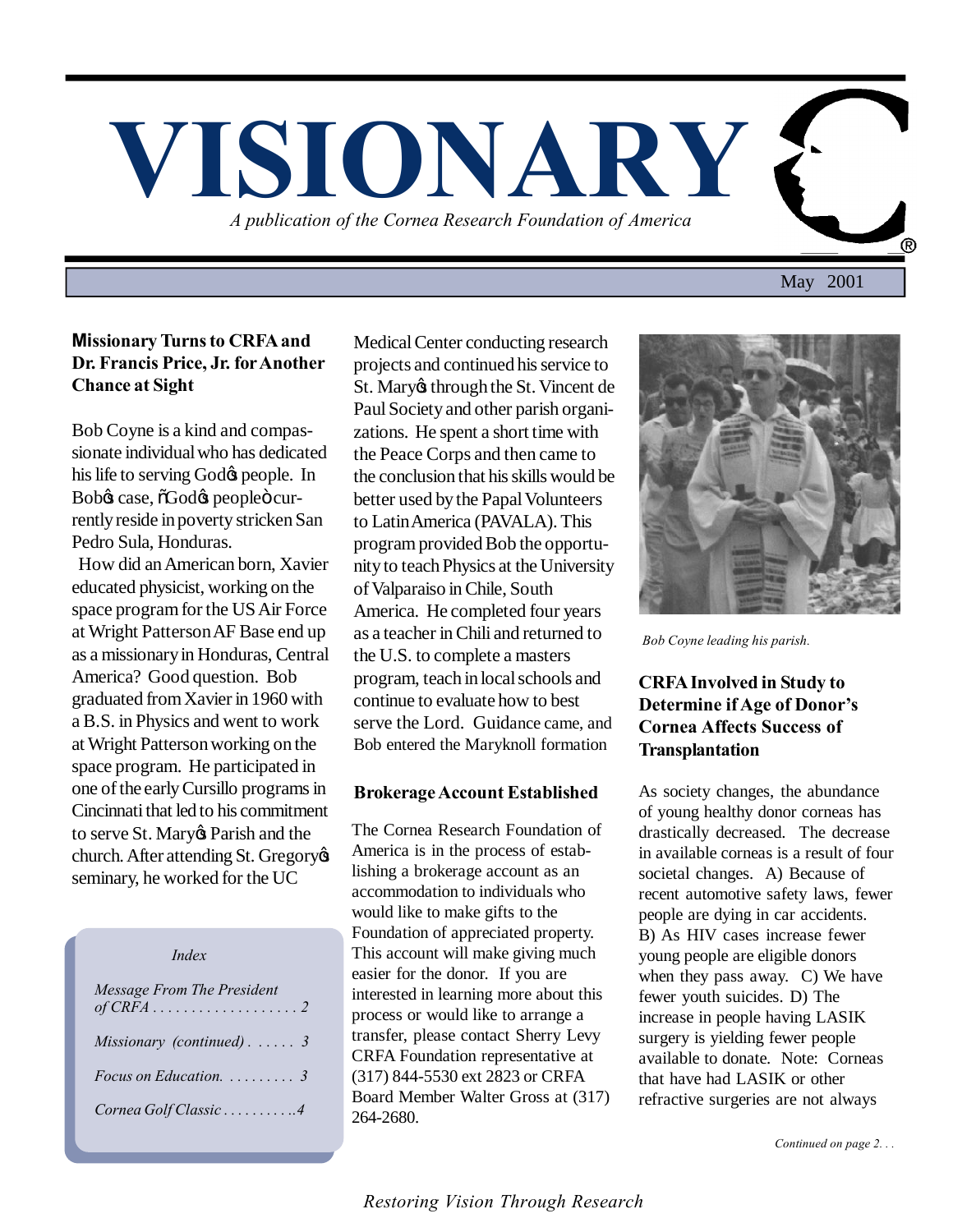

# **Missionary Turns to CRFA and Dr. Francis Price, Jr. for Another Chance at Sight**

Bob Coyne is a kind and compassionate individual who has dedicated his life to serving God $\alpha$  people. In Bobys case,  $\delta$ Godys peopleö currently reside in poverty stricken San Pedro Sula, Honduras.

 How did an American born, Xavier educated physicist, working on the space program for the US Air Force at Wright Patterson AF Base end up as a missionary in Honduras, Central America? Good question. Bob graduated from Xavier in 1960 with a B.S. in Physics and went to work at Wright Patterson working on the space program. He participated in one of the early Cursillo programs in Cincinnati that led to his commitment to serve St. Mary & Parish and the church. After attending St. Gregory seminary, he worked for the UC

 *Index*

| Message From The President            |
|---------------------------------------|
| Missionary (continued). $\ldots$ 3    |
| Focus on Education. $\ldots \ldots$ 3 |
| Cornea Golf Classic4                  |

Medical Center conducting research projects and continued his service to St. Mary through the St. Vincent de Paul Society and other parish organizations. He spent a short time with the Peace Corps and then came to the conclusion that his skills would be better used by the Papal Volunteers to Latin America (PAVALA). This program provided Bob the opportunity to teach Physics at the University of Valparaiso in Chile, South America. He completed four years as a teacher in Chili and returned to the U.S. to complete a masters program, teach in local schools and continue to evaluate how to best serve the Lord. Guidance came, and Bob entered the Maryknoll formation

# **Brokerage Account Established**

The Cornea Research Foundation of America is in the process of establishing a brokerage account as an accommodation to individuals who would like to make gifts to the Foundation of appreciated property. This account will make giving much easier for the donor. If you are interested in learning more about this process or would like to arrange a transfer, please contact Sherry Levy CRFA Foundation representative at (317) 844-5530 ext 2823 or CRFA Board Member Walter Gross at (317) 264-2680.



*Bob Coyne leading his parish.*

# **CRFA Involved in Study to Determine if Age of Donor's Cornea Affects Success of Transplantation**

As society changes, the abundance of young healthy donor corneas has drastically decreased. The decrease in available corneas is a result of four societal changes. A) Because of recent automotive safety laws, fewer people are dying in car accidents. B) As HIV cases increase fewer young people are eligible donors when they pass away. C) We have fewer youth suicides. D) The increase in people having LASIK surgery is yielding fewer people available to donate. Note: Corneas that have had LASIK or other refractive surgeries are not always

 *Continued on page 2. . .*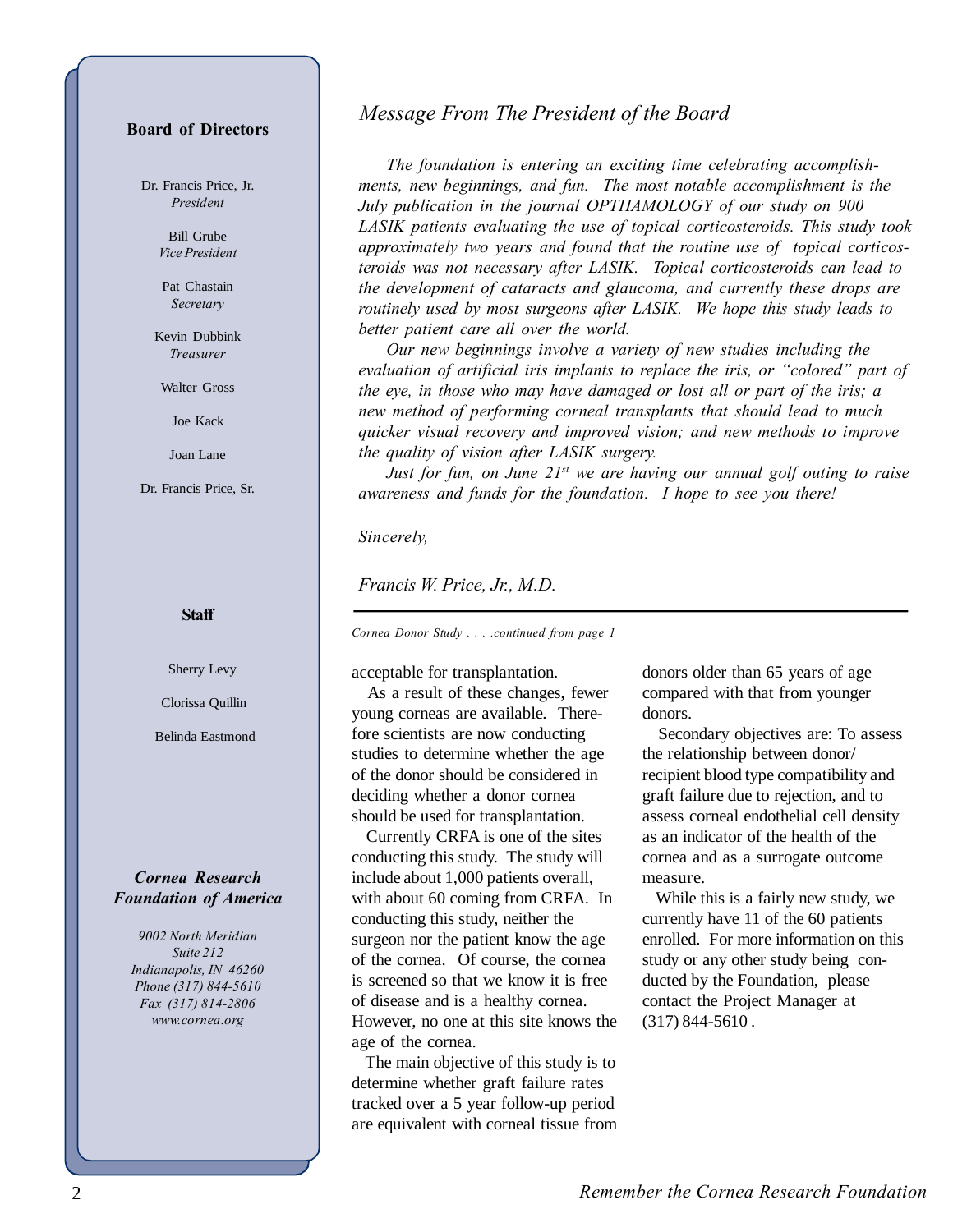### **Board of Directors**

Dr. Francis Price, Jr. *President*

> Bill Grube *Vice President*

Pat Chastain *Secretary*

Kevin Dubbink *Treasurer*

Walter Gross

Joe Kack

Joan Lane

Dr. Francis Price, Sr.

#### **Staff**

Sherry Levy

Clorissa Quillin

Belinda Eastmond

## *Cornea Research Foundation of America*

*9002 North Meridian Suite 212 Indianapolis, IN 46260 Phone (317) 844-5610 Fax (317) 814-2806 www.cornea.org*

# *Message From The President of the Board*

*The foundation is entering an exciting time celebrating accomplishments, new beginnings, and fun. The most notable accomplishment is the July publication in the journal OPTHAMOLOGY of our study on 900 LASIK patients evaluating the use of topical corticosteroids. This study took approximately two years and found that the routine use of topical corticosteroids was not necessary after LASIK. Topical corticosteroids can lead to the development of cataracts and glaucoma, and currently these drops are routinely used by most surgeons after LASIK. We hope this study leads to better patient care all over the world.*

*Our new beginnings involve a variety of new studies including the evaluation of artificial iris implants to replace the iris, or "colored" part of the eye, in those who may have damaged or lost all or part of the iris; a new method of performing corneal transplants that should lead to much quicker visual recovery and improved vision; and new methods to improve the quality of vision after LASIK surgery.*

*Just for fun, on June 21st we are having our annual golf outing to raise awareness and funds for the foundation. I hope to see you there!*

#### *Sincerely,*

*Francis W. Price, Jr., M.D.*

*Cornea Donor Study . . . .continued from page 1*

acceptable for transplantation.

 As a result of these changes, fewer young corneas are available. Therefore scientists are now conducting studies to determine whether the age of the donor should be considered in deciding whether a donor cornea should be used for transplantation.

 Currently CRFA is one of the sites conducting this study. The study will include about 1,000 patients overall, with about 60 coming from CRFA. In conducting this study, neither the surgeon nor the patient know the age of the cornea. Of course, the cornea is screened so that we know it is free of disease and is a healthy cornea. However, no one at this site knows the age of the cornea.

 The main objective of this study is to determine whether graft failure rates tracked over a 5 year follow-up period are equivalent with corneal tissue from

donors older than 65 years of age compared with that from younger donors.

 Secondary objectives are: To assess the relationship between donor/ recipient blood type compatibility and graft failure due to rejection, and to assess corneal endothelial cell density as an indicator of the health of the cornea and as a surrogate outcome measure.

 While this is a fairly new study, we currently have 11 of the 60 patients enrolled. For more information on this study or any other study being conducted by the Foundation, please contact the Project Manager at (317) 844-5610 .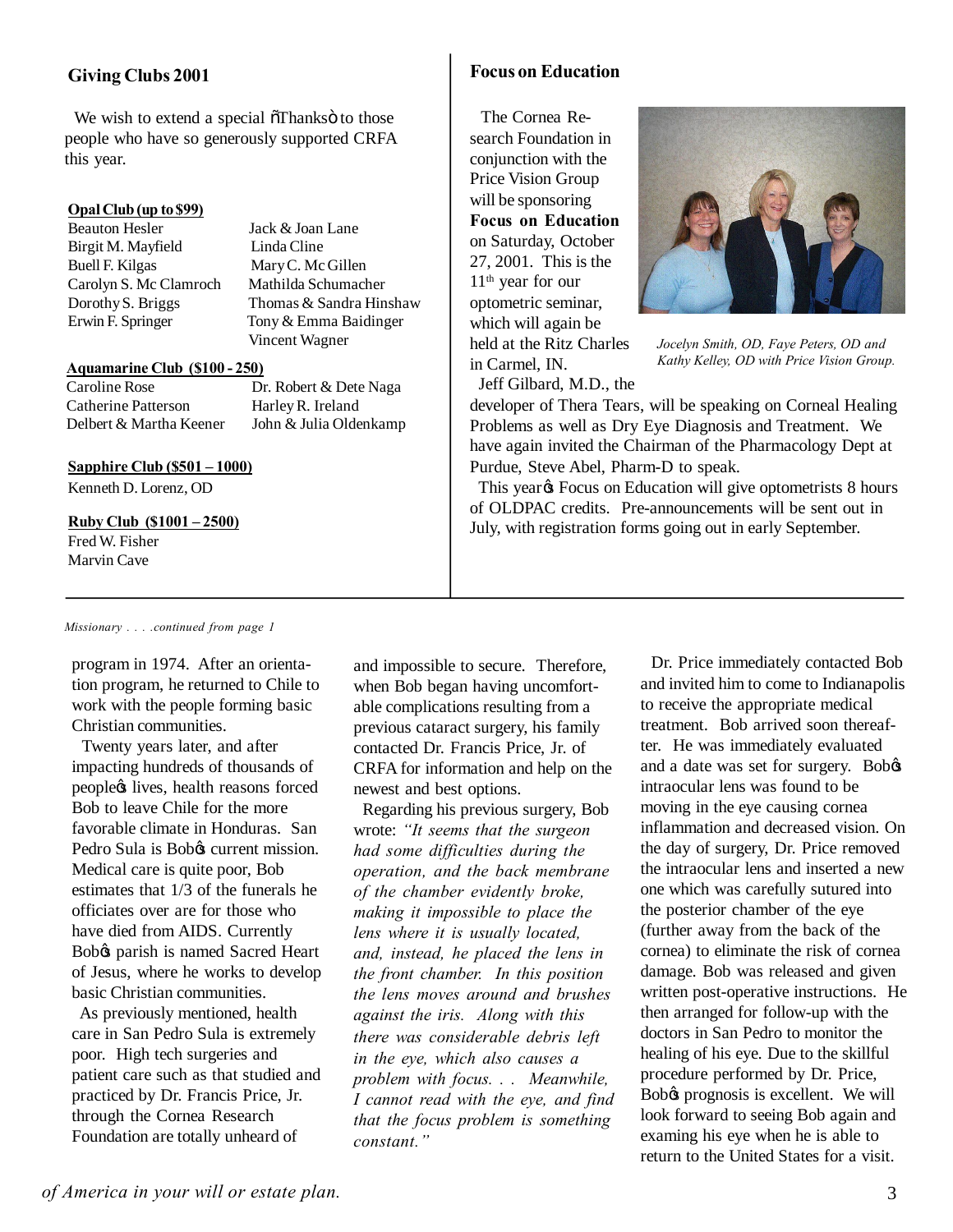# **Giving Clubs 2001**

We wish to extend a special  $\tilde{\sigma}$ Thanks $\ddot{\sigma}$  to those people who have so generously supported CRFA this year.

### **Opal Club (up to \$99)**

Beauton Hesler Jack & Joan Lane Birgit M. Mayfield Linda Cline Buell F. Kilgas Mary C. Mc Gillen Carolyn S. Mc Clamroch Mathilda Schumacher

Dorothy S. Briggs Thomas & Sandra Hinshaw Erwin F. Springer Tony & Emma Baidinger Vincent Wagner

#### **Aquamarine Club (\$100 - 250)**

Catherine Patterson Harley R. Ireland

Caroline Rose Dr. Robert & Dete Naga Delbert & Martha Keener John & Julia Oldenkamp

#### **Sapphire Club (\$501 – 1000)**

Kenneth D. Lorenz, OD

### **Ruby Club (\$1001 – 2500)**

Fred W. Fisher Marvin Cave

# **Focus on Education**

 The Cornea Research Foundation in conjunction with the Price Vision Group will be sponsoring **Focus on Education** on Saturday, October 27, 2001. This is the 11<sup>th</sup> year for our optometric seminar, which will again be held at the Ritz Charles in Carmel, IN.



*Jocelyn Smith, OD, Faye Peters, OD and Kathy Kelley, OD with Price Vision Group.*

Jeff Gilbard, M.D., the

developer of Thera Tears, will be speaking on Corneal Healing Problems as well as Dry Eye Diagnosis and Treatment. We have again invited the Chairman of the Pharmacology Dept at Purdue, Steve Abel, Pharm-D to speak.

This year  $\&$  Focus on Education will give optometrists 8 hours of OLDPAC credits. Pre-announcements will be sent out in July, with registration forms going out in early September.

#### *Missionary . . . .continued from page 1*

program in 1974. After an orientation program, he returned to Chile to work with the people forming basic Christian communities.

 Twenty years later, and after impacting hundreds of thousands of peopleøs lives, health reasons forced Bob to leave Chile for the more favorable climate in Honduras. San Pedro Sula is Bobos current mission. Medical care is quite poor, Bob estimates that 1/3 of the funerals he officiates over are for those who have died from AIDS. Currently Bobos parish is named Sacred Heart of Jesus, where he works to develop basic Christian communities.

 As previously mentioned, health care in San Pedro Sula is extremely poor. High tech surgeries and patient care such as that studied and practiced by Dr. Francis Price, Jr. through the Cornea Research Foundation are totally unheard of

and impossible to secure. Therefore, when Bob began having uncomfortable complications resulting from a previous cataract surgery, his family contacted Dr. Francis Price, Jr. of CRFA for information and help on the newest and best options.

 Regarding his previous surgery, Bob wrote: *"It seems that the surgeon had some difficulties during the operation, and the back membrane of the chamber evidently broke, making it impossible to place the lens where it is usually located, and, instead, he placed the lens in the front chamber. In this position the lens moves around and brushes against the iris. Along with this there was considerable debris left in the eye, which also causes a problem with focus. . . Meanwhile, I cannot read with the eye, and find that the focus problem is something constant."*

 Dr. Price immediately contacted Bob and invited him to come to Indianapolis to receive the appropriate medical treatment. Bob arrived soon thereafter. He was immediately evaluated and a date was set for surgery. Bobos intraocular lens was found to be moving in the eye causing cornea inflammation and decreased vision. On the day of surgery, Dr. Price removed the intraocular lens and inserted a new one which was carefully sutured into the posterior chamber of the eye (further away from the back of the cornea) to eliminate the risk of cornea damage. Bob was released and given written post-operative instructions. He then arranged for follow-up with the doctors in San Pedro to monitor the healing of his eye. Due to the skillful procedure performed by Dr. Price, Bobø prognosis is excellent. We will look forward to seeing Bob again and examing his eye when he is able to return to the United States for a visit.